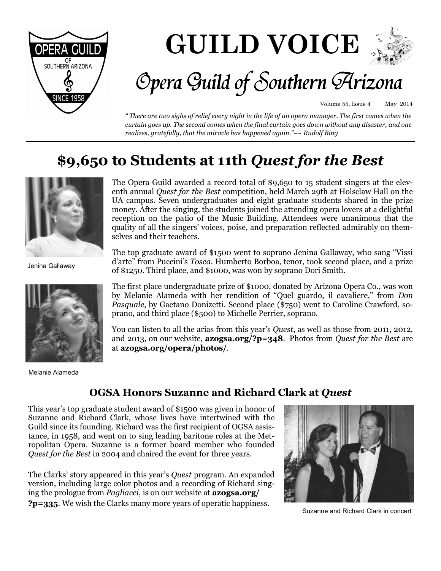

# **GUILD VOICE**



# Opera Guild of Southern Arizona

Volume 55, Issue 4 May 2014

*" There are two sighs of relief every night in the life of an opera manager. The first comes when the curtain goes up. The second comes when the final curtain goes down without any disaster, and one realizes, gratefully, that the miracle has happened again."~~ Rudolf Bing* 

## **\$9,650 to Students at 11th** *Quest for the Best*



Jenina Gallaway



Melanie Alameda

The Opera Guild awarded a record total of \$9,650 to 15 student singers at the eleventh annual *Quest for the Best* competition, held March 29th at Holsclaw Hall on the UA campus. Seven undergraduates and eight graduate students shared in the prize money. After the singing, the students joined the attending opera lovers at a delightful reception on the patio of the Music Building. Attendees were unanimous that the quality of all the singers' voices, poise, and preparation reflected admirably on themselves and their teachers.

The top graduate award of \$1500 went to soprano Jenina Gallaway, who sang "Vissi d'arte" from Puccini's *Tosca*. Humberto Borboa, tenor, took second place, and a prize of \$1250. Third place, and \$1000, was won by soprano Dori Smith.

The first place undergraduate prize of \$1000, donated by Arizona Opera Co., was won by Melanie Alameda with her rendition of "Quel guardo, il cavaliere," from *Don Pasquale*, by Gaetano Donizetti. Second place (\$750) went to Caroline Crawford, soprano, and third place (\$500) to Michelle Perrier, soprano.

You can listen to all the arias from this year's *Quest*, as well as those from 2011, 2012, and 2013, on our website, **azogsa.org/?p=348**. Photos from *Quest for the Best* are at **azogsa.org/opera/photos/**.

### **OGSA Honors Suzanne and Richard Clark at** *Quest*

This year's top graduate student award of \$1500 was given in honor of Suzanne and Richard Clark, whose lives have intertwined with the Guild since its founding. Richard was the first recipient of OGSA assistance, in 1958, and went on to sing leading baritone roles at the Metropolitan Opera. Suzanne is a former board member who founded *Quest for the Best* in 2004 and chaired the event for three years.

The Clarks' story appeared in this year's *Quest* program. An expanded version, including large color photos and a recording of Richard singing the prologue from *Pagliacci*, is on our website at **azogsa.org/ ?p=335**. We wish the Clarks many more years of operatic happiness.



Suzanne and Richard Clark in concert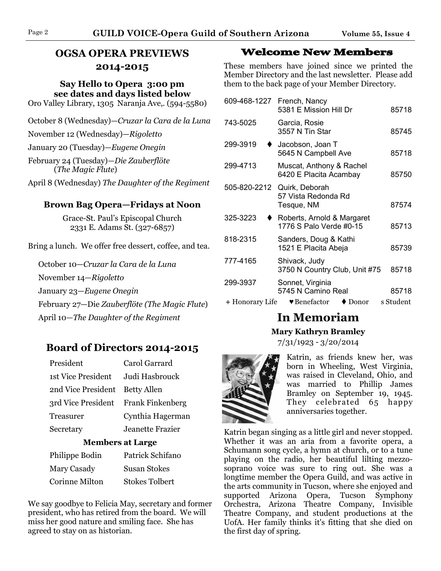Page 2 **GUILD VOICE-Opera Guild of Southern Arizona Volume 55, Issue 4**

### **OGSA OPERA PREVIEWS 2014-2015**

**Say Hello to Opera 3:00 pm see dates and days listed below** 

Oro Valley Library, 1305 Naranja Ave,. (594-5580)

October 8 (Wednesday)—*Cruzar la Cara de la Luna*

November 12 (Wednesday)—*Rigoletto*

January 20 (Tuesday)—*Eugene Onegin* 

February 24 (Tuesday)—*Die Zauberflöte* (*The Magic Flute*)

April 8 (Wednesday) *The Daughter of the Regiment*

#### **Brown Bag Opera—Fridays at Noon**

Grace-St. Paul's Episcopal Church 2331 E. Adams St. (327-6857)

Bring a lunch. We offer free dessert, coffee, and tea.

October 10—*Cruzar la Cara de la Luna* November 14—*Rigoletto* January 23—*Eugene Onegin* February 27—Die *Zauberflöte (The Magic Flute*) April 10*—The Daughter of the Regiment* 

### **Board of Directors 2014-2015**

| Carol Garrard                       |
|-------------------------------------|
| Judi Hasbrouck                      |
| 2nd Vice President Betty Allen      |
| 3rd Vice President Frank Finkenberg |
| Cynthia Hagerman                    |
| Jeanette Frazier                    |
|                                     |

### **Members at Large**

| Philippe Bodin        | Patrick Schifano      |
|-----------------------|-----------------------|
| Mary Casady           | <b>Susan Stokes</b>   |
| <b>Corinne Milton</b> | <b>Stokes Tolbert</b> |

We say goodbye to Felicia May, secretary and former president, who has retired from the board. We will miss her good nature and smiling face. She has agreed to stay on as historian.

### **Welcome New Members**

These members have joined since we printed the Member Directory and the last newsletter. Please add them to the back page of your Member Directory.

| 609-468-1227    | French, Nancy<br>5381 E Mission Hill Dr                   | 85718     |
|-----------------|-----------------------------------------------------------|-----------|
| 743-5025        | Garcia, Rosie<br>3557 N Tin Star                          | 85745     |
| 299-3919        | Jacobson, Joan T<br>5645 N Campbell Ave                   | 85718     |
| 299-4713        | Muscat, Anthony & Rachel<br>6420 E Placita Acambay        | 85750     |
| 505-820-2212    | Quirk, Deborah<br>57 Vista Redonda Rd<br>Tesque, NM       | 87574     |
| 325-3223        | Roberts, Arnold & Margaret<br>1776 S Palo Verde #0-15     | 85713     |
| 818-2315        | Sanders, Doug & Kathi<br>1521 E Placita Abeja             | 85739     |
| 777-4165        | Shivack, Judy<br>3750 N Country Club, Unit #75            | 85718     |
| 299-3937        | Sonnet, Virginia<br>5745 N Camino Real                    | 85718     |
| + Honorary Life | $\blacktriangleright$ Benefactor<br>$\blacklozenge$ Donor | s Student |

### **In Memoriam**

#### **Mary Kathryn Bramley**

7/31/1923 - 3/20/2014



Katrin, as friends knew her, was born in Wheeling, West Virginia, was raised in Cleveland, Ohio, and was married to Phillip James Bramley on September 19, 1945. They celebrated 65 happy anniversaries together.

Katrin began singing as a little girl and never stopped. Whether it was an aria from a favorite opera, a Schumann song cycle, a hymn at church, or to a tune playing on the radio, her beautiful lilting mezzosoprano voice was sure to ring out. She was a longtime member the Opera Guild, and was active in the arts community in Tucson, where she enjoyed and supported Arizona Opera, Tucson Symphony Orchestra, Arizona Theatre Company, Invisible Theatre Company, and student productions at the UofA. Her family thinks it's fitting that she died on the first day of spring.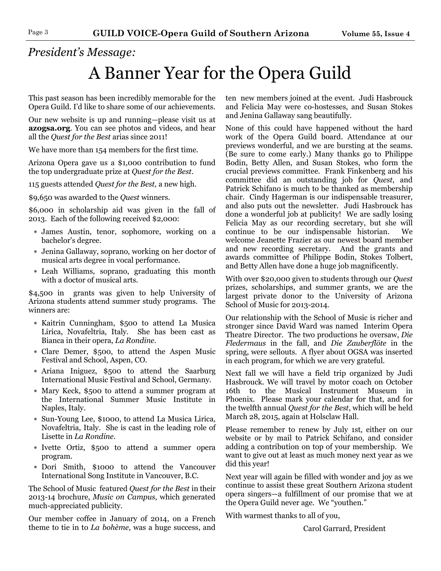## *President's Message:*

# A Banner Year for the Opera Guild

This past season has been incredibly memorable for the Opera Guild. I'd like to share some of our achievements.

Our new website is up and running—please visit us at **azogsa.org**. You can see photos and videos, and hear all the *Quest for the Best* arias since 2011!

We have more than 154 members for the first time.

Arizona Opera gave us a \$1,000 contribution to fund the top undergraduate prize at *Quest for the Best*.

115 guests attended *Quest for the Best,* a new high.

\$9,650 was awarded to the *Quest* winners.

\$6,000 in scholarship aid was given in the fall of 2013. Each of the following received \$2,000:

- ∗ James Austin, tenor, sophomore, working on a bachelor's degree.
- ∗ Jenina Gallaway, soprano, working on her doctor of musical arts degree in vocal performance.
- ∗ Leah Williams, soprano, graduating this month with a doctor of musical arts.

\$4,500 in grants was given to help University of Arizona students attend summer study programs. The winners are:

- ∗ Kaitrin Cunningham, \$500 to attend La Musica Lirica, Novafeltria, Italy. She has been cast as Bianca in their opera, *La Rondine*.
- ∗ Clare Demer, \$500, to attend the Aspen Music Festival and School, Aspen, CO.
- ∗ Ariana Iniguez, \$500 to attend the Saarburg International Music Festival and School, Germany.
- ∗ Mary Keck, \$500 to attend a summer program at the International Summer Music Institute in Naples, Italy.
- ∗ Sun-Young Lee, \$1000, to attend La Musica Lirica, Novafeltria, Italy. She is cast in the leading role of Lisette in *La Rondine*.
- ∗ Ivette Ortiz, \$500 to attend a summer opera program.
- ∗ Dori Smith, \$1000 to attend the Vancouver International Song Institute in Vancouver, B.C.

The School of Music featured *Quest for the Best* in their 2013-14 brochure, *Music on Campus*, which generated much-appreciated publicity.

Our member coffee in January of 2014, on a French theme to tie in to *La bohème*, was a huge success, and ten new members joined at the event. Judi Hasbrouck and Felicia May were co-hostesses, and Susan Stokes and Jenina Gallaway sang beautifully.

None of this could have happened without the hard work of the Opera Guild board. Attendance at our previews wonderful, and we are bursting at the seams. (Be sure to come early.) Many thanks go to Philippe Bodin, Betty Allen, and Susan Stokes, who form the crucial previews committee. Frank Finkenberg and his committee did an outstanding job for *Quest*, and Patrick Schifano is much to be thanked as membership chair. Cindy Hagerman is our indispensable treasurer, and also puts out the newsletter. Judi Hasbrouck has done a wonderful job at publicity! We are sadly losing Felicia May as our recording secretary, but she will continue to be our indispensable historian. We welcome Jeanette Frazier as our newest board member and new recording secretary. And the grants and awards committee of Philippe Bodin, Stokes Tolbert, and Betty Allen have done a huge job magnificently.

With over \$20,000 given to students through our *Quest*  prizes, scholarships, and summer grants, we are the largest private donor to the University of Arizona School of Music for 2013-2014.

Our relationship with the School of Music is richer and stronger since David Ward was named Interim Opera Theatre Director. The two productions he oversaw, *Die Fledermaus* in the fall, and *Die Zauberflöte* in the spring, were sellouts. A flyer about OGSA was inserted in each program, for which we are very grateful.

Next fall we will have a field trip organized by Judi Hasbrouck. We will travel by motor coach on October 16th to the Musical Instrument Museum in Phoenix. Please mark your calendar for that, and for the twelfth annual *Quest for the Best*, which will be held March 28, 2015, again at Holsclaw Hall.

Please remember to renew by July 1st, either on our website or by mail to Patrick Schifano, and consider adding a contribution on top of your membership. We want to give out at least as much money next year as we did this year!

Next year will again be filled with wonder and joy as we continue to assist these great Southern Arizona student opera singers—a fulfillment of our promise that we at the Opera Guild never age. We "youthen."

With warmest thanks to all of you,

Carol Garrard, President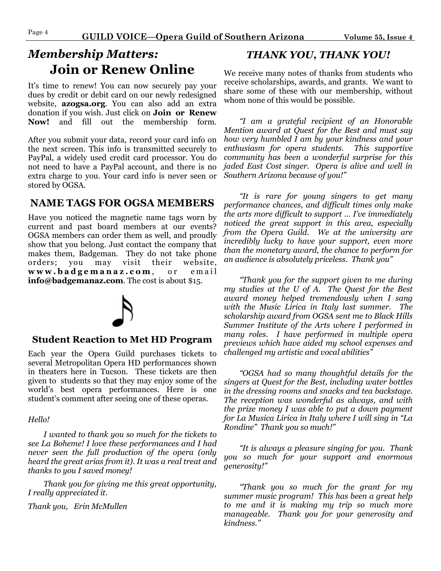### *Membership Matters:*  **Join or Renew Online**

It's time to renew! You can now securely pay your dues by credit or debit card on our newly redesigned website, **azogsa.org**. You can also add an extra donation if you wish. Just click on **Join or Renew Now!** and fill out the membership form.

After you submit your data, record your card info on the next screen. This info is transmitted securely to PayPal, a widely used credit card processor. You do not need to have a PayPal account, and there is no extra charge to you. Your card info is never seen or stored by OGSA.

### **NAME TAGS FOR OGSA MEMBERS**

Have you noticed the magnetic name tags worn by current and past board members at our events? OGSA members can order them as well, and proudly show that you belong. Just contact the company that makes them, Badgeman. They do not take phone orders; you may visit their website, **w w w . b a d g e m a n a z . c o m** , o r e m a i l **info@badgemanaz.com**. The cost is about \$15.



### **Student Reaction to Met HD Program**

Each year the Opera Guild purchases tickets to several Metropolitan Opera HD performances shown in theaters here in Tucson. These tickets are then given to students so that they may enjoy some of the world's best opera performances. Here is one student's comment after seeing one of these operas.

#### *Hello!*

*I wanted to thank you so much for the tickets to see La Boheme! I love these performances and I had never seen the full production of the opera (only heard the great arias from it). It was a real treat and thanks to you I saved money!* 

*Thank you for giving me this great opportunity, I really appreciated it.* 

*Thank you, Erin McMullen* 

### *THANK YOU, THANK YOU!*

We receive many notes of thanks from students who receive scholarships, awards, and grants. We want to share some of these with our membership, without whom none of this would be possible.

*"I am a grateful recipient of an Honorable Mention award at Quest for the Best and must say how very humbled I am by your kindness and your enthusiasm for opera students. This supportive community has been a wonderful surprise for this jaded East Cost singer. Opera is alive and well in Southern Arizona because of you!"* 

*"It is rare for young singers to get many performance chances, and difficult times only make the arts more difficult to support … I've immediately noticed the great support in this area, especially from the Opera Guild. We at the university are incredibly lucky to have your support, even more than the monetary award, the chance to perform for an audience is absolutely priceless. Thank you"* 

*"Thank you for the support given to me during my studies at the U of A. The Quest for the Best award money helped tremendously when I sang with the Music Lirica in Italy last summer. The scholarship award from OGSA sent me to Black Hills Summer Institute of the Arts where I performed in many roles. I have performed in multiple opera previews which have aided my school expenses and challenged my artistic and vocal abilities"* 

*"OGSA had so many thoughtful details for the singers at Quest for the Best, including water bottles in the dressing rooms and snacks and tea backstage. The reception was wonderful as always, and with the prize money I was able to put a down payment for La Musica Lirica in Italy where I will sing in "La Rondine" Thank you so much!"* 

*"It is always a pleasure singing for you. Thank you so much for your support and enormous generosity!"* 

*"Thank you so much for the grant for my summer music program! This has been a great help to me and it is making my trip so much more manageable. Thank you for your generosity and kindness."*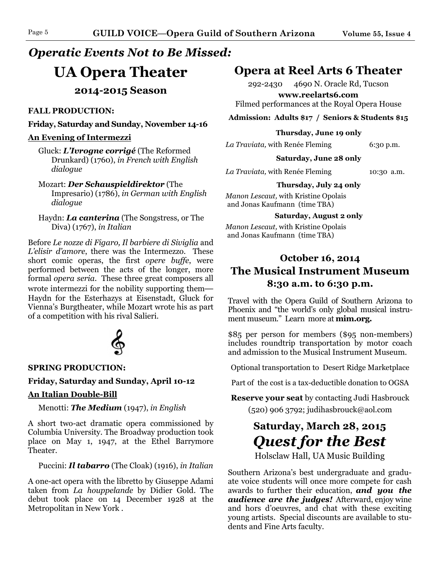### *Operatic Events Not to Be Missed:*

### **UA Opera Theater**

**2014-2015 Season** 

### **FALL PRODUCTION:**

#### **Friday, Saturday and Sunday, November 14-16**

#### **An Evening of Intermezzi**

Gluck: *L'Ivrogne corrigé* (The Reformed Drunkard) (1760), *in French with English dialogue* 

### Mozart: *Der Schauspieldirektor* (The

Impresario) (1786), *in German with English dialogue* 

Haydn: *La canterina* (The Songstress, or The Diva) (1767), *in Italian* 

Before *Le nozze di Figaro, Il barbiere di Siviglia* and *L'elisir d'amore*, there was the Intermezzo. These short comic operas, the first *opere buffe*, were performed between the acts of the longer, more formal *opera seria*. These three great composers all wrote intermezzi for the nobility supporting them**—** Haydn for the Esterhazys at Eisenstadt, Gluck for Vienna's Burgtheater, while Mozart wrote his as part of a competition with his rival Salieri.



### **SPRING PRODUCTION:**

### **Friday, Saturday and Sunday, April 10-12**

### **An Italian Double-Bill**

Menotti: *The Medium* (1947), *in English* 

A short two-act dramatic opera commissioned by Columbia University. The Broadway production took place on May 1, 1947, at the Ethel Barrymore Theater.

### Puccini: *Il tabarro* (The Cloak) (1916), *in Italian*

A one-act opera with the libretto by Giuseppe Adami taken from *La houppelande* by Didier Gold. The debut took place on 14 December 1928 at the Metropolitan in New York .

### **Opera at Reel Arts 6 Theater**

292-2430 4690 N. Oracle Rd, Tucson

**www.reelarts6.com** Filmed performances at the Royal Opera House

**Admission: Adults \$17 / Seniors & Students \$15** 

#### **Thursday, June 19 only**

*La Traviata,* with Renée Fleming 6:30 p.m.

**Saturday, June 28 only**

*La Traviata,* with Renée Fleming 10:30 a.m.

**Thursday, July 24 only** *Manon Lescaut,* with Kristine Opolais and Jonas Kaufmann (time TBA)

**Saturday, August 2 only**

*Manon Lescaut,* with Kristine Opolais and Jonas Kaufmann (time TBA)

### **October 16, 2014 The Musical Instrument Museum 8:30 a.m. to 6:30 p.m.**

Travel with the Opera Guild of Southern Arizona to Phoenix and "the world's only global musical instrument museum." Learn more at **mim.org.** 

\$85 per person for members (\$95 non-members) includes roundtrip transportation by motor coach and admission to the Musical Instrument Museum.

Optional transportation to Desert Ridge Marketplace

Part of the cost is a tax-deductible donation to OGSA

**Reserve your seat** by contacting Judi Hasbrouck  $(520)$  906 3792; judihasbrouck@aol.com

### **Saturday, March 28, 2015**  *Quest for the Best*

Holsclaw Hall, UA Music Building

Southern Arizona's best undergraduate and graduate voice students will once more compete for cash awards to further their education, *and you the audience are the judges!* Afterward, enjoy wine and hors d'oeuvres, and chat with these exciting young artists. Special discounts are available to students and Fine Arts faculty.